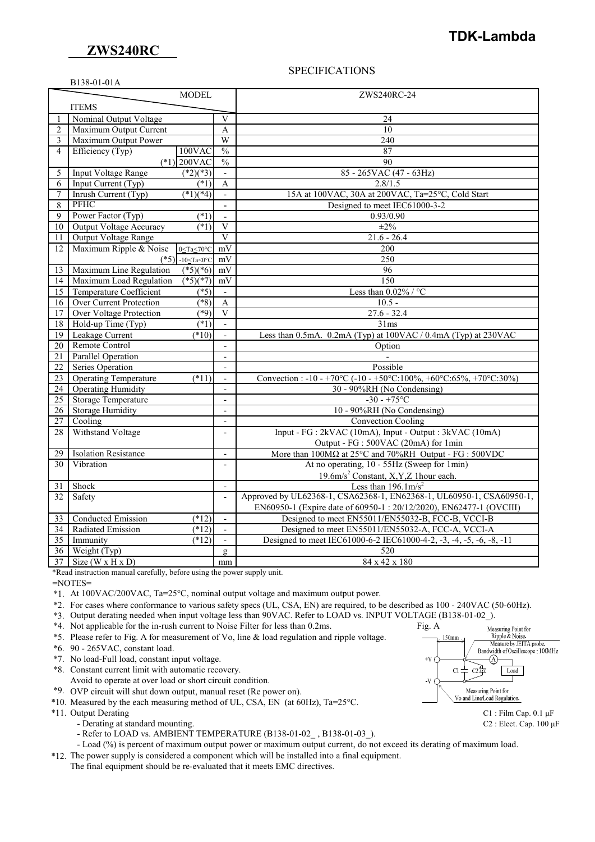### **ZWS240RC**

B138-01-01A

## **TDK-Lambda**

### SPECIFICATIONS

|                 |                                | <b>MODEL</b>                  |                          | ZWS240RC-24                                                                                          |
|-----------------|--------------------------------|-------------------------------|--------------------------|------------------------------------------------------------------------------------------------------|
|                 | <b>ITEMS</b>                   |                               |                          |                                                                                                      |
| 1               | Nominal Output Voltage         |                               | $\overline{V}$           | 24                                                                                                   |
| $\mathbf{2}$    | Maximum Output Current         |                               | A                        | $\overline{10}$                                                                                      |
| 3               | Maximum Output Power           |                               | $\overline{W}$           | 240                                                                                                  |
| $\overline{4}$  | Efficiency (Typ)               | $100$ VAC                     | $\frac{0}{0}$            | 87                                                                                                   |
|                 |                                | $(*1)$ 200VAC                 | $\frac{0}{0}$            | 90                                                                                                   |
| 5               | <b>Input Voltage Range</b>     | $(*2)(*3)$                    | $\mathbf{r}$             | 85 - 265VAC (47 - 63Hz)                                                                              |
| 6               | Input Current (Typ)            | (1)                           | $\mathbf{A}$             | 2.8/1.5                                                                                              |
| 7               | Inrush Current (Typ)           | $(*1)(*4)$                    | $\mathbf{r}$             | 15A at 100VAC, 30A at 200VAC, Ta=25°C, Cold Start                                                    |
| 8               | PFHC                           |                               | $\overline{\phantom{a}}$ | Designed to meet IEC61000-3-2                                                                        |
| 9               | Power Factor (Typ)             | $(*1)$                        | $\overline{a}$           | 0.93/0.90                                                                                            |
| 10              | <b>Output Voltage Accuracy</b> | $(*1)$                        | $\overline{V}$           | $\pm 2\%$                                                                                            |
| 11              | Output Voltage Range           |                               | $\overline{\mathbf{V}}$  | $21.6 - 26.4$                                                                                        |
| 12              | Maximum Ripple & Noise         | 0≤Ta≤70°C                     | mV                       | 200                                                                                                  |
|                 | $(*5)$                         | $-10 \leq Ta \leq 0^{\circ}C$ | mV                       | 250                                                                                                  |
| 13              | Maximum Line Regulation        | $(*5)(*6)$                    | mV                       | 96                                                                                                   |
| 14              | Maximum Load Regulation        | $(*5)(*7)$                    | mV                       | 150                                                                                                  |
| 15              | <b>Temperature Coefficient</b> | $( *5)$                       | $\mathbf{r}$             | Less than $0.02\%$ / °C                                                                              |
| 16              | <b>Over Current Protection</b> | $(\sqrt[*]{8})$               | $\mathbf{A}$             | $10.5 -$                                                                                             |
| 17              | <b>Over Voltage Protection</b> | $(*9)$                        | $\overline{\mathbf{V}}$  | $27.6 - 32.4$                                                                                        |
| 18              | Hold-up Time (Typ)             | $(*1)$                        |                          | 31ms                                                                                                 |
| $\overline{19}$ | Leakage Current                | $(*10)$                       | $\overline{\phantom{a}}$ | Less than 0.5mA. 0.2mA (Typ) at 100VAC / 0.4mA (Typ) at 230VAC                                       |
| $\overline{20}$ | Remote Control                 |                               | $\overline{a}$           | Option                                                                                               |
| $\overline{21}$ | <b>Parallel Operation</b>      |                               | $\mathbf{r}$             |                                                                                                      |
| $\overline{22}$ | Series Operation               |                               | $\overline{\phantom{a}}$ | Possible                                                                                             |
| 23              | <b>Operating Temperature</b>   | $(*11)$                       | $\overline{\phantom{a}}$ | Convection: $-10 - +70\degree$ C $(-10 - +50\degree$ C:100%, $+60\degree$ C:65%, $+70\degree$ C:30%) |
| 24              | <b>Operating Humidity</b>      |                               | $\overline{a}$           | 30 - 90%RH (No Condensing)                                                                           |
| 25              | <b>Storage Temperature</b>     |                               | $\mathbf{r}$             | $-30 - +75$ °C                                                                                       |
| 26              | <b>Storage Humidity</b>        |                               | $\overline{\phantom{a}}$ | 10 - 90%RH (No Condensing)                                                                           |
| 27              | Cooling                        |                               | $\overline{a}$           | <b>Convection Cooling</b>                                                                            |
| 28              | Withstand Voltage              |                               | $\overline{a}$           | Input - FG : 2kVAC (10mA), Input - Output : 3kVAC (10mA)                                             |
|                 |                                |                               |                          | Output - FG : 500VAC (20mA) for 1min                                                                 |
| 29              | <b>Isolation Resistance</b>    |                               | $\overline{a}$           | More than $100M\Omega$ at $25^{\circ}$ C and $70\%$ RH Output - FG : $500$ VDC                       |
| 30              | Vibration                      |                               | $\overline{\phantom{a}}$ | At no operating, 10 - 55Hz (Sweep for 1min)                                                          |
|                 |                                |                               |                          | 19.6m/s <sup>2</sup> Constant, X, Y, Z 1 hour each.                                                  |
| 31              | Shock                          |                               | $\overline{\phantom{0}}$ | Less than $196.1 \text{m/s}^2$                                                                       |
| 32              | Safety                         |                               | $\overline{\phantom{a}}$ | Approved by UL62368-1, CSA62368-1, EN62368-1, UL60950-1, CSA60950-1,                                 |
|                 |                                |                               |                          | EN60950-1 (Expire date of 60950-1:20/12/2020), EN62477-1 (OVCIII)                                    |
| 33              | Conducted Emission             | (12)                          | $\overline{\phantom{a}}$ | Designed to meet EN55011/EN55032-B, FCC-B, VCCI-B                                                    |
| 34              | Radiated Emission              | (12)                          | $\mathbf{r}$             | Designed to meet EN55011/EN55032-A, FCC-A, VCCI-A                                                    |
| 35              | Immunity                       | $(*12)$                       | $\frac{1}{2}$            | Designed to meet IEC61000-6-2 IEC61000-4-2, -3, -4, -5, -6, -8, -11                                  |
| 36              | Weight (Typ)                   |                               | $\mathbf{g}$             | 520                                                                                                  |
| 37              | Size ( $W \times H \times D$ ) |                               | mm                       | 84 x 42 x 180                                                                                        |

\*Read instruction manual carefully, before using the power supply unit.

=NOTES=

\*1. At 100VAC/200VAC, Ta=25°C, nominal output voltage and maximum output power.

\*2. For cases where conformance to various safety specs (UL, CSA, EN) are required, to be described as 100 - 240VAC (50-60Hz).

\*3. Output derating needed when input voltage less than 90VAC. Refer to LOAD vs. INPUT VOLTAGE (B138-01-02\_).

- \*4. Not applicable for the in-rush current to Noise Filter for less than 0.2ms. Fig. A
- \*5. Please refer to Fig. A for measurement of Vo, line & load regulation and ripple voltage.
- \*6. 90 265VAC, constant load.
- \*7. No load-Full load, constant input voltage.
- \*8. Constant current limit with automatic recovery.
- Avoid to operate at over load or short circuit condition.
- \*9. OVP circuit will shut down output, manual reset (Re power on).

\*10. Measured by the each measuring method of UL, CSA, EN (at 60Hz), Ta=25°C.

- \*11. Output Derating C1 : Film Cap. 0.1 μF
	- Derating at standard mounting. C2 : Elect. Cap. 100 μF
		- Refer to LOAD vs. AMBIENT TEMPERATURE (B138-01-02\_, B138-01-03\_).

- Load (%) is percent of maximum output power or maximum output current, do not exceed its derating of maximum load.

\*12. The power supply is considered a component which will be installed into a final equipment.

The final equipment should be re-evaluated that it meets EMC directives.



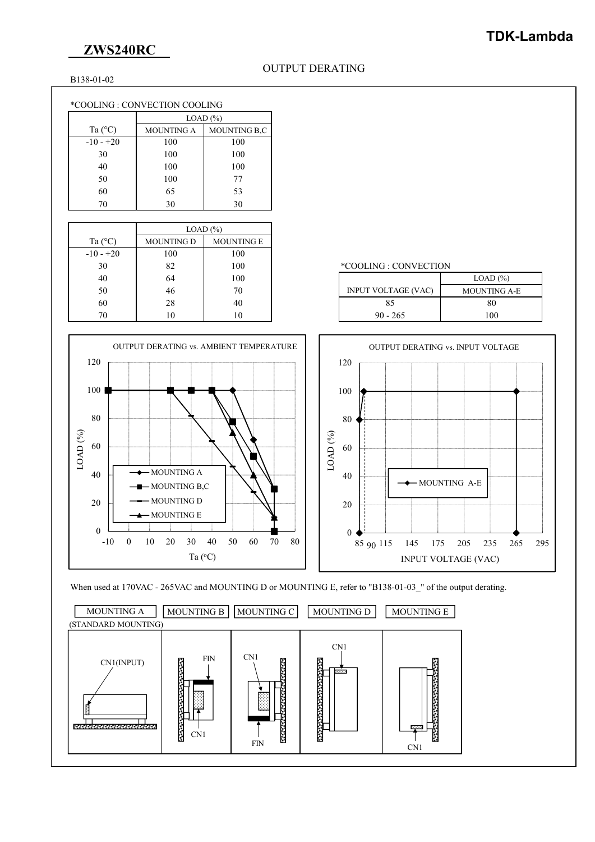## **ZWS240RC**

### B138-01-02

### \*COOLING : CONVECTION COOLING

|                  | $LOAD$ $%$        |              |  |
|------------------|-------------------|--------------|--|
| Ta $(^{\circ}C)$ | <b>MOUNTING A</b> | MOUNTING B.C |  |
| $-10 - +20$      | 100               | 100          |  |
| 30               | 100               | 100          |  |
| 40               | 100               | 100          |  |
| 50               | 100               | 77           |  |
| 60               | 65                | 53           |  |
| 70               | 30                | 30           |  |

|                  | $LOAD$ $(\%)$     |                   |                            |
|------------------|-------------------|-------------------|----------------------------|
| Ta $(^{\circ}C)$ | <b>MOUNTING D</b> | <b>MOUNTING E</b> |                            |
| $-10 - +20$      | 100               | 100               |                            |
| 30               | 82                | 100               | *COOLING : CONVECTION      |
| 40               | 64                | 100               |                            |
| 50               | 46                | 70                | <b>INPUT VOLTAGE (VAC)</b> |
| 60               | 28                | 40                | 85                         |
| 70               | 10                | 10                | $90 - 265$                 |









## **TDK-Lambda**

#### \*COOLING : CONVECTION

| 40 | 64 | 100 |                            | $LOAD$ $%$          |
|----|----|-----|----------------------------|---------------------|
| 50 | 46 | 70  | <b>INPUT VOLTAGE (VAC)</b> | <b>MOUNTING A-E</b> |
| 60 | 28 | 40  |                            | 80                  |
| 70 | 10 |     | $90 - 265$                 | 100                 |
|    |    |     |                            |                     |